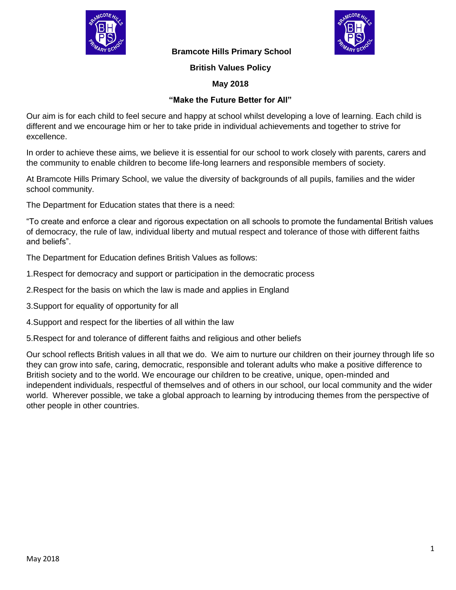

 **Bramcote Hills Primary School** 



**British Values Policy**

## **May 2018**

## **"Make the Future Better for All"**

Our aim is for each child to feel secure and happy at school whilst developing a love of learning. Each child is different and we encourage him or her to take pride in individual achievements and together to strive for excellence.

In order to achieve these aims, we believe it is essential for our school to work closely with parents, carers and the community to enable children to become life-long learners and responsible members of society.

At Bramcote Hills Primary School, we value the diversity of backgrounds of all pupils, families and the wider school community.

The Department for Education states that there is a need:

"To create and enforce a clear and rigorous expectation on all schools to promote the fundamental British values of democracy, the rule of law, individual liberty and mutual respect and tolerance of those with different faiths and beliefs".

The Department for Education defines British Values as follows:

- 1.Respect for democracy and support or participation in the democratic process
- 2.Respect for the basis on which the law is made and applies in England
- 3.Support for equality of opportunity for all
- 4.Support and respect for the liberties of all within the law

5.Respect for and tolerance of different faiths and religious and other beliefs

Our school reflects British values in all that we do. We aim to nurture our children on their journey through life so they can grow into safe, caring, democratic, responsible and tolerant adults who make a positive difference to British society and to the world. We encourage our children to be creative, unique, open-minded and independent individuals, respectful of themselves and of others in our school, our local community and the wider world. Wherever possible, we take a global approach to learning by introducing themes from the perspective of other people in other countries.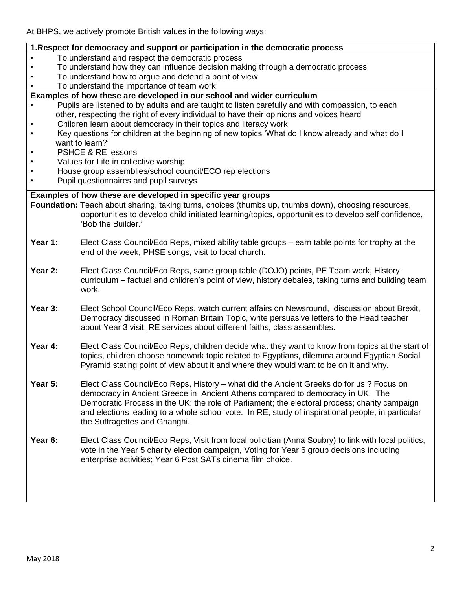At BHPS, we actively promote British values in the following ways:

| 1. Respect for democracy and support or participation in the democratic process                                                 |                                                                                                                                                                                         |  |  |
|---------------------------------------------------------------------------------------------------------------------------------|-----------------------------------------------------------------------------------------------------------------------------------------------------------------------------------------|--|--|
|                                                                                                                                 | To understand and respect the democratic process                                                                                                                                        |  |  |
|                                                                                                                                 | To understand how they can influence decision making through a democratic process<br>To understand how to argue and defend a point of view                                              |  |  |
|                                                                                                                                 | To understand the importance of team work                                                                                                                                               |  |  |
|                                                                                                                                 | Examples of how these are developed in our school and wider curriculum                                                                                                                  |  |  |
|                                                                                                                                 | Pupils are listened to by adults and are taught to listen carefully and with compassion, to each                                                                                        |  |  |
| other, respecting the right of every individual to have their opinions and voices heard                                         |                                                                                                                                                                                         |  |  |
| Children learn about democracy in their topics and literacy work<br>$\bullet$                                                   |                                                                                                                                                                                         |  |  |
| Key questions for children at the beginning of new topics 'What do I know already and what do I<br>$\bullet$<br>want to learn?' |                                                                                                                                                                                         |  |  |
| <b>PSHCE &amp; RE lessons</b><br>$\bullet$                                                                                      |                                                                                                                                                                                         |  |  |
| Values for Life in collective worship<br>$\bullet$                                                                              |                                                                                                                                                                                         |  |  |
| $\bullet$                                                                                                                       | House group assemblies/school council/ECO rep elections                                                                                                                                 |  |  |
|                                                                                                                                 | Pupil questionnaires and pupil surveys                                                                                                                                                  |  |  |
| Examples of how these are developed in specific year groups                                                                     |                                                                                                                                                                                         |  |  |
|                                                                                                                                 | Foundation: Teach about sharing, taking turns, choices (thumbs up, thumbs down), choosing resources,                                                                                    |  |  |
|                                                                                                                                 | opportunities to develop child initiated learning/topics, opportunities to develop self confidence,                                                                                     |  |  |
|                                                                                                                                 | 'Bob the Builder.'                                                                                                                                                                      |  |  |
| Year 1:                                                                                                                         |                                                                                                                                                                                         |  |  |
|                                                                                                                                 | Elect Class Council/Eco Reps, mixed ability table groups – earn table points for trophy at the<br>end of the week, PHSE songs, visit to local church.                                   |  |  |
|                                                                                                                                 |                                                                                                                                                                                         |  |  |
| Year 2:                                                                                                                         | Elect Class Council/Eco Reps, same group table (DOJO) points, PE Team work, History                                                                                                     |  |  |
|                                                                                                                                 | curriculum – factual and children's point of view, history debates, taking turns and building team                                                                                      |  |  |
|                                                                                                                                 | work.                                                                                                                                                                                   |  |  |
| Year 3:                                                                                                                         |                                                                                                                                                                                         |  |  |
|                                                                                                                                 | Elect School Council/Eco Reps, watch current affairs on Newsround, discussion about Brexit,<br>Democracy discussed in Roman Britain Topic, write persuasive letters to the Head teacher |  |  |
|                                                                                                                                 | about Year 3 visit, RE services about different faiths, class assembles.                                                                                                                |  |  |
|                                                                                                                                 |                                                                                                                                                                                         |  |  |
| Year 4:                                                                                                                         | Elect Class Council/Eco Reps, children decide what they want to know from topics at the start of                                                                                        |  |  |
|                                                                                                                                 | topics, children choose homework topic related to Egyptians, dilemma around Egyptian Social                                                                                             |  |  |
|                                                                                                                                 | Pyramid stating point of view about it and where they would want to be on it and why.                                                                                                   |  |  |
|                                                                                                                                 |                                                                                                                                                                                         |  |  |
| Year 5:                                                                                                                         | Elect Class Council/Eco Reps, History – what did the Ancient Greeks do for us ? Focus on                                                                                                |  |  |
|                                                                                                                                 | democracy in Ancient Greece in Ancient Athens compared to democracy in UK. The<br>Democratic Process in the UK: the role of Parliament; the electoral process; charity campaign         |  |  |
|                                                                                                                                 | and elections leading to a whole school vote. In RE, study of inspirational people, in particular                                                                                       |  |  |
|                                                                                                                                 | the Suffragettes and Ghanghi.                                                                                                                                                           |  |  |
|                                                                                                                                 |                                                                                                                                                                                         |  |  |
| Year 6:                                                                                                                         | Elect Class Council/Eco Reps, Visit from local policitian (Anna Soubry) to link with local politics,                                                                                    |  |  |
|                                                                                                                                 | vote in the Year 5 charity election campaign, Voting for Year 6 group decisions including                                                                                               |  |  |
|                                                                                                                                 | enterprise activities; Year 6 Post SATs cinema film choice.                                                                                                                             |  |  |
|                                                                                                                                 |                                                                                                                                                                                         |  |  |
|                                                                                                                                 |                                                                                                                                                                                         |  |  |
|                                                                                                                                 |                                                                                                                                                                                         |  |  |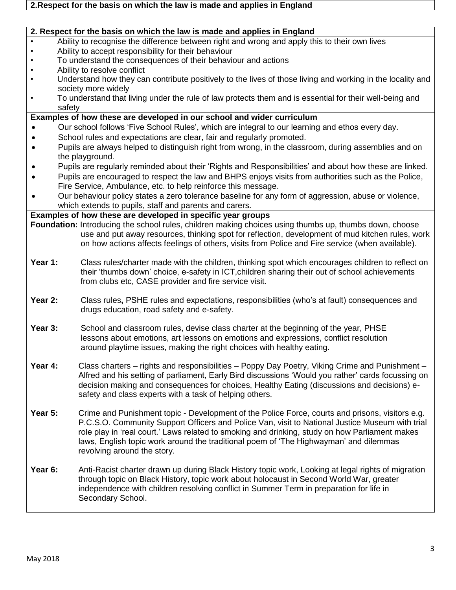| $\bullet$ | 2. Respect for the basis on which the law is made and applies in England<br>Ability to recognise the difference between right and wrong and apply this to their own lives                          |
|-----------|----------------------------------------------------------------------------------------------------------------------------------------------------------------------------------------------------|
| $\bullet$ | Ability to accept responsibility for their behaviour                                                                                                                                               |
| $\bullet$ | To understand the consequences of their behaviour and actions                                                                                                                                      |
|           |                                                                                                                                                                                                    |
| ٠         | Ability to resolve conflict                                                                                                                                                                        |
|           | Understand how they can contribute positively to the lives of those living and working in the locality and                                                                                         |
|           | society more widely                                                                                                                                                                                |
| $\bullet$ | To understand that living under the rule of law protects them and is essential for their well-being and                                                                                            |
| safety    |                                                                                                                                                                                                    |
|           | Examples of how these are developed in our school and wider curriculum                                                                                                                             |
|           | Our school follows 'Five School Rules', which are integral to our learning and ethos every day.                                                                                                    |
|           | School rules and expectations are clear, fair and regularly promoted.                                                                                                                              |
|           | Pupils are always helped to distinguish right from wrong, in the classroom, during assemblies and on<br>the playground.                                                                            |
|           | Pupils are regularly reminded about their 'Rights and Responsibilities' and about how these are linked.                                                                                            |
|           | Pupils are encouraged to respect the law and BHPS enjoys visits from authorities such as the Police,                                                                                               |
|           |                                                                                                                                                                                                    |
|           | Fire Service, Ambulance, etc. to help reinforce this message.                                                                                                                                      |
| $\bullet$ | Our behaviour policy states a zero tolerance baseline for any form of aggression, abuse or violence,<br>which extends to pupils, staff and parents and carers.                                     |
|           | Examples of how these are developed in specific year groups                                                                                                                                        |
|           |                                                                                                                                                                                                    |
|           | Foundation: Introducing the school rules, children making choices using thumbs up, thumbs down, choose                                                                                             |
|           | use and put away resources, thinking spot for reflection, development of mud kitchen rules, work                                                                                                   |
|           | on how actions affects feelings of others, visits from Police and Fire service (when available).                                                                                                   |
| Year 1:   | Class rules/charter made with the children, thinking spot which encourages children to reflect on                                                                                                  |
|           | their 'thumbs down' choice, e-safety in ICT, children sharing their out of school achievements                                                                                                     |
|           | from clubs etc, CASE provider and fire service visit.                                                                                                                                              |
|           |                                                                                                                                                                                                    |
| Year 2:   | Class rules, PSHE rules and expectations, responsibilities (who's at fault) consequences and                                                                                                       |
|           | drugs education, road safety and e-safety.                                                                                                                                                         |
|           |                                                                                                                                                                                                    |
| Year 3:   | School and classroom rules, devise class charter at the beginning of the year, PHSE                                                                                                                |
|           | lessons about emotions, art lessons on emotions and expressions, conflict resolution                                                                                                               |
|           |                                                                                                                                                                                                    |
|           | around playtime issues, making the right choices with healthy eating.                                                                                                                              |
| Year 4:   | Class charters – rights and responsibilities – Poppy Day Poetry, Viking Crime and Punishment –                                                                                                     |
|           | Alfred and his setting of parliament, Early Bird discussions 'Would you rather' cards focussing on                                                                                                 |
|           |                                                                                                                                                                                                    |
|           | decision making and consequences for choices, Healthy Eating (discussions and decisions) e-                                                                                                        |
|           | safety and class experts with a task of helping others.                                                                                                                                            |
| Year 5:   |                                                                                                                                                                                                    |
|           | Crime and Punishment topic - Development of the Police Force, courts and prisons, visitors e.g.<br>P.C.S.O. Community Support Officers and Police Van, visit to National Justice Museum with trial |
|           |                                                                                                                                                                                                    |
|           | role play in 'real court.' Laws related to smoking and drinking, study on how Parliament makes                                                                                                     |
|           | laws, English topic work around the traditional poem of 'The Highwayman' and dilemmas                                                                                                              |
|           | revolving around the story.                                                                                                                                                                        |
| Year 6:   | Anti-Racist charter drawn up during Black History topic work, Looking at legal rights of migration                                                                                                 |
|           | through topic on Black History, topic work about holocaust in Second World War, greater                                                                                                            |
|           | independence with children resolving conflict in Summer Term in preparation for life in                                                                                                            |
|           | Secondary School.                                                                                                                                                                                  |
|           |                                                                                                                                                                                                    |
|           |                                                                                                                                                                                                    |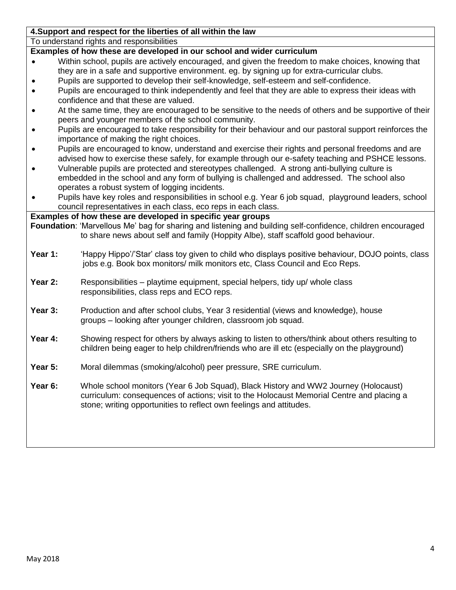| 4. Support and respect for the liberties of all within the law                                                                                |                                                                                                             |  |  |
|-----------------------------------------------------------------------------------------------------------------------------------------------|-------------------------------------------------------------------------------------------------------------|--|--|
| To understand rights and responsibilities                                                                                                     |                                                                                                             |  |  |
| Examples of how these are developed in our school and wider curriculum                                                                        |                                                                                                             |  |  |
|                                                                                                                                               | Within school, pupils are actively encouraged, and given the freedom to make choices, knowing that          |  |  |
|                                                                                                                                               | they are in a safe and supportive environment. eg. by signing up for extra-curricular clubs.                |  |  |
|                                                                                                                                               | Pupils are supported to develop their self-knowledge, self-esteem and self-confidence.                      |  |  |
| Pupils are encouraged to think independently and feel that they are able to express their ideas with<br>confidence and that these are valued. |                                                                                                             |  |  |
| At the same time, they are encouraged to be sensitive to the needs of others and be supportive of their                                       |                                                                                                             |  |  |
| peers and younger members of the school community.                                                                                            |                                                                                                             |  |  |
| Pupils are encouraged to take responsibility for their behaviour and our pastoral support reinforces the                                      |                                                                                                             |  |  |
| importance of making the right choices.                                                                                                       |                                                                                                             |  |  |
|                                                                                                                                               | Pupils are encouraged to know, understand and exercise their rights and personal freedoms and are           |  |  |
|                                                                                                                                               | advised how to exercise these safely, for example through our e-safety teaching and PSHCE lessons.          |  |  |
| $\bullet$                                                                                                                                     | Vulnerable pupils are protected and stereotypes challenged. A strong anti-bullying culture is               |  |  |
|                                                                                                                                               | embedded in the school and any form of bullying is challenged and addressed. The school also                |  |  |
|                                                                                                                                               | operates a robust system of logging incidents.                                                              |  |  |
|                                                                                                                                               | Pupils have key roles and responsibilities in school e.g. Year 6 job squad, playground leaders, school      |  |  |
|                                                                                                                                               | council representatives in each class, eco reps in each class.                                              |  |  |
|                                                                                                                                               | Examples of how these are developed in specific year groups                                                 |  |  |
|                                                                                                                                               | Foundation: 'Marvellous Me' bag for sharing and listening and building self-confidence, children encouraged |  |  |
|                                                                                                                                               | to share news about self and family (Hoppity Albe), staff scaffold good behaviour.                          |  |  |
|                                                                                                                                               |                                                                                                             |  |  |
| Year 1:                                                                                                                                       | 'Happy Hippo'/'Star' class toy given to child who displays positive behaviour, DOJO points, class           |  |  |
|                                                                                                                                               | jobs e.g. Book box monitors/ milk monitors etc, Class Council and Eco Reps.                                 |  |  |
| Year 2:                                                                                                                                       | Responsibilities – playtime equipment, special helpers, tidy up/ whole class                                |  |  |
|                                                                                                                                               | responsibilities, class reps and ECO reps.                                                                  |  |  |
|                                                                                                                                               |                                                                                                             |  |  |
| Year 3:                                                                                                                                       | Production and after school clubs, Year 3 residential (views and knowledge), house                          |  |  |
|                                                                                                                                               | groups - looking after younger children, classroom job squad.                                               |  |  |
|                                                                                                                                               |                                                                                                             |  |  |
| Year 4:                                                                                                                                       | Showing respect for others by always asking to listen to others/think about others resulting to             |  |  |
|                                                                                                                                               | children being eager to help children/friends who are ill etc (especially on the playground)                |  |  |
|                                                                                                                                               |                                                                                                             |  |  |
| Year 5:                                                                                                                                       | Moral dilemmas (smoking/alcohol) peer pressure, SRE curriculum.                                             |  |  |
|                                                                                                                                               |                                                                                                             |  |  |
| Year 6:                                                                                                                                       | Whole school monitors (Year 6 Job Squad), Black History and WW2 Journey (Holocaust)                         |  |  |
|                                                                                                                                               | curriculum: consequences of actions; visit to the Holocaust Memorial Centre and placing a                   |  |  |
|                                                                                                                                               | stone; writing opportunities to reflect own feelings and attitudes.                                         |  |  |
|                                                                                                                                               |                                                                                                             |  |  |
|                                                                                                                                               |                                                                                                             |  |  |
|                                                                                                                                               |                                                                                                             |  |  |
|                                                                                                                                               |                                                                                                             |  |  |